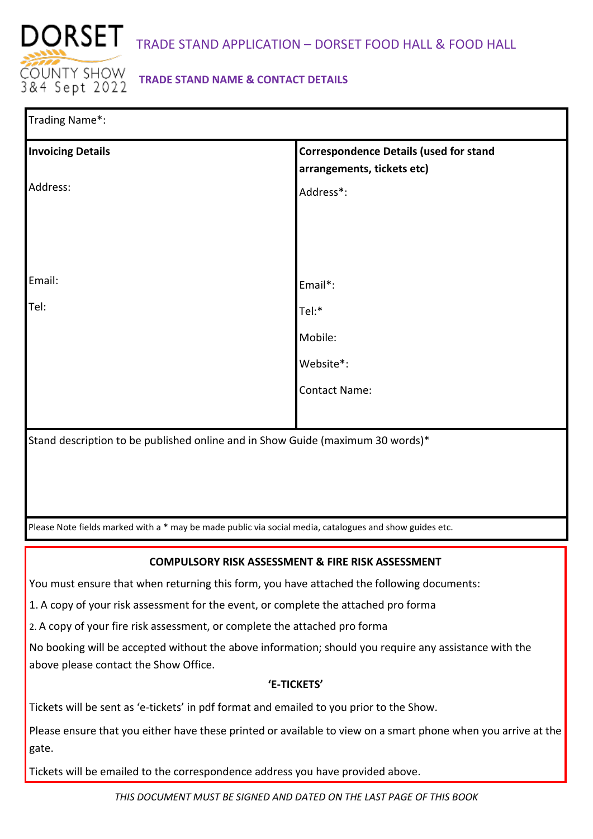

# **TRADE STAND NAME & CONTACT DETAILS**

| Trading Name*:                                                                                          |                                                                             |  |  |  |
|---------------------------------------------------------------------------------------------------------|-----------------------------------------------------------------------------|--|--|--|
| <b>Invoicing Details</b>                                                                                | <b>Correspondence Details (used for stand</b><br>arrangements, tickets etc) |  |  |  |
| Address:                                                                                                | Address*:                                                                   |  |  |  |
|                                                                                                         |                                                                             |  |  |  |
|                                                                                                         |                                                                             |  |  |  |
|                                                                                                         |                                                                             |  |  |  |
| Email:                                                                                                  | Email*:                                                                     |  |  |  |
| Tel:                                                                                                    | Tel:*                                                                       |  |  |  |
|                                                                                                         | Mobile:                                                                     |  |  |  |
|                                                                                                         | Website*:                                                                   |  |  |  |
|                                                                                                         | <b>Contact Name:</b>                                                        |  |  |  |
|                                                                                                         |                                                                             |  |  |  |
| Stand description to be published online and in Show Guide (maximum 30 words)*                          |                                                                             |  |  |  |
|                                                                                                         |                                                                             |  |  |  |
|                                                                                                         |                                                                             |  |  |  |
|                                                                                                         |                                                                             |  |  |  |
| Please Note fields marked with a * may be made public via social media, catalogues and show guides etc. |                                                                             |  |  |  |

## **COMPULSORY RISK ASSESSMENT & FIRE RISK ASSESSMENT**

You must ensure that when returning this form, you have attached the following documents:

1. A copy of your risk assessment for the event, or complete the attached pro forma

2. A copy of your fire risk assessment, or complete the attached pro forma

No booking will be accepted without the above information; should you require any assistance with the above please contact the Show Office.

## **'E-TICKETS'**

Tickets will be sent as 'e-tickets' in pdf format and emailed to you prior to the Show.

Please ensure that you either have these printed or available to view on a smart phone when you arrive at the gate.

Tickets will be emailed to the correspondence address you have provided above.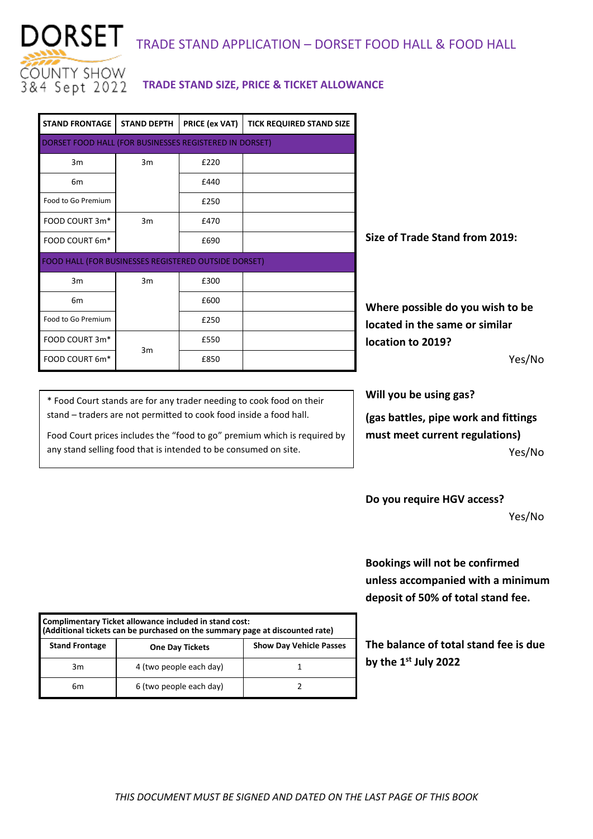

# DORSET TRADE STAND APPLICATION – DORSET FOOD HALL & FOOD HALL

## **TRADE STAND SIZE, PRICE & TICKET ALLOWANCE**

| <b>STAND FRONTAGE</b>                                  | <b>STAND DEPTH</b> | PRICE (ex VAT) | <b>TICK REQUIRED STAND SIZE</b> |  |  |
|--------------------------------------------------------|--------------------|----------------|---------------------------------|--|--|
| DORSET FOOD HALL (FOR BUSINESSES REGISTERED IN DORSET) |                    |                |                                 |  |  |
| 3m                                                     | 3m                 | £220           |                                 |  |  |
| 6m                                                     |                    | £440           |                                 |  |  |
| Food to Go Premium                                     |                    | £250           |                                 |  |  |
| FOOD COURT 3m*                                         | 3m                 | £470           |                                 |  |  |
| FOOD COURT 6m*                                         |                    | £690           |                                 |  |  |
| FOOD HALL (FOR BUSINESSES REGISTERED OUTSIDE DORSET)   |                    |                |                                 |  |  |
| 3m                                                     | 3m                 | £300           |                                 |  |  |
| 6 <sub>m</sub>                                         |                    | £600           |                                 |  |  |
| Food to Go Premium                                     |                    | £250           |                                 |  |  |
| FOOD COURT 3m*                                         | 3m                 | £550           |                                 |  |  |
| FOOD COURT 6m <sup>*</sup>                             |                    | £850           |                                 |  |  |

**Size of Trade Stand from 2019:** 

**Where possible do you wish to be located in the same or similar location to 2019?** 

Yes/No

\* Food Court stands are for any trader needing to cook food on their stand – traders are not permitted to cook food inside a food hall.

Food Court prices includes the "food to go" premium which is required by any stand selling food that is intended to be consumed on site.

**Will you be using gas?**

**(gas battles, pipe work and fittings must meet current regulations)** Yes/No

**Do you require HGV access?**

Yes/No

**Bookings will not be confirmed unless accompanied with a minimum deposit of 50% of total stand fee.**

**The balance of total stand fee is due by the 1st July 2022** 

| Complimentary Ticket allowance included in stand cost:<br>(Additional tickets can be purchased on the summary page at discounted rate) |                         |                                |  |
|----------------------------------------------------------------------------------------------------------------------------------------|-------------------------|--------------------------------|--|
| <b>Stand Frontage</b>                                                                                                                  | <b>One Day Tickets</b>  | <b>Show Day Vehicle Passes</b> |  |
| 3m                                                                                                                                     | 4 (two people each day) |                                |  |
| 6m                                                                                                                                     | 6 (two people each day) |                                |  |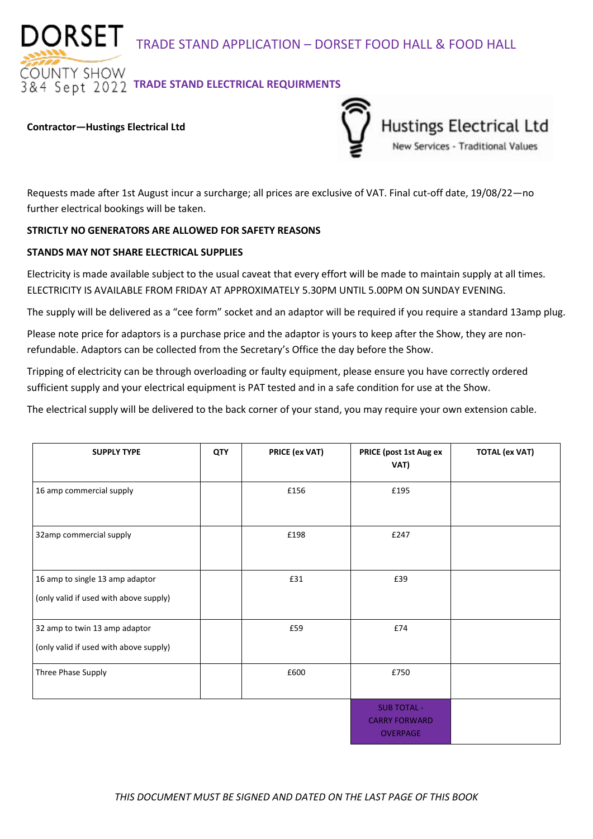DORSET TRADE STAND APPLICATION – DORSET FOOD HALL & FOOD HALL

**DUNTY SHOW**  $\overline{84}$  Sept 2022 TRADE STAND ELECTRICAL REQUIRMENTS

#### **Contractor—Hustings Electrical Ltd**



Requests made after 1st August incur a surcharge; all prices are exclusive of VAT. Final cut-off date, 19/08/22—no further electrical bookings will be taken.

## **STRICTLY NO GENERATORS ARE ALLOWED FOR SAFETY REASONS**

## **STANDS MAY NOT SHARE ELECTRICAL SUPPLIES**

Electricity is made available subject to the usual caveat that every effort will be made to maintain supply at all times. ELECTRICITY IS AVAILABLE FROM FRIDAY AT APPROXIMATELY 5.30PM UNTIL 5.00PM ON SUNDAY EVENING.

The supply will be delivered as a "cee form" socket and an adaptor will be required if you require a standard 13amp plug.

Please note price for adaptors is a purchase price and the adaptor is yours to keep after the Show, they are nonrefundable. Adaptors can be collected from the Secretary's Office the day before the Show.

Tripping of electricity can be through overloading or faulty equipment, please ensure you have correctly ordered sufficient supply and your electrical equipment is PAT tested and in a safe condition for use at the Show.

The electrical supply will be delivered to the back corner of your stand, you may require your own extension cable.

| <b>SUPPLY TYPE</b>                                                        | <b>QTY</b> | PRICE (ex VAT) | PRICE (post 1st Aug ex<br>VAT)                                | <b>TOTAL (ex VAT)</b> |
|---------------------------------------------------------------------------|------------|----------------|---------------------------------------------------------------|-----------------------|
| 16 amp commercial supply                                                  |            | £156           | £195                                                          |                       |
| 32amp commercial supply                                                   |            | £198           | £247                                                          |                       |
| 16 amp to single 13 amp adaptor<br>(only valid if used with above supply) |            | £31            | £39                                                           |                       |
| 32 amp to twin 13 amp adaptor<br>(only valid if used with above supply)   |            | £59            | £74                                                           |                       |
| Three Phase Supply                                                        |            | £600           | £750                                                          |                       |
|                                                                           |            |                | <b>SUB TOTAL -</b><br><b>CARRY FORWARD</b><br><b>OVERPAGE</b> |                       |